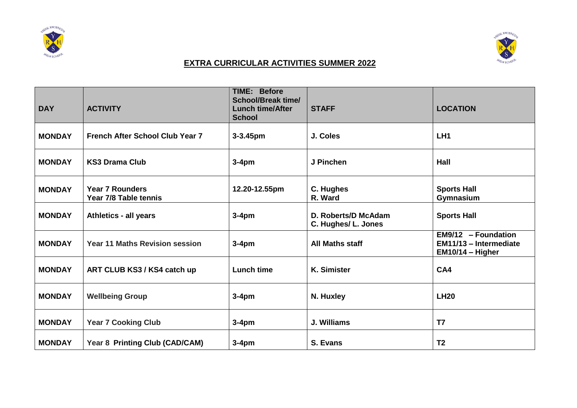



## **EXTRA CURRICULAR ACTIVITIES SUMMER 2022**

| <b>DAY</b>    | <b>ACTIVITY</b>                                 | <b>TIME: Before</b><br><b>School/Break time/</b><br><b>Lunch time/After</b><br><b>School</b> | <b>STAFF</b>                               | <b>LOCATION</b>                                                     |
|---------------|-------------------------------------------------|----------------------------------------------------------------------------------------------|--------------------------------------------|---------------------------------------------------------------------|
| <b>MONDAY</b> | <b>French After School Club Year 7</b>          | $3 - 3.45$ pm                                                                                | J. Coles                                   | LH <sub>1</sub>                                                     |
| <b>MONDAY</b> | <b>KS3 Drama Club</b>                           | $3-4pm$                                                                                      | J Pinchen                                  | Hall                                                                |
| <b>MONDAY</b> | <b>Year 7 Rounders</b><br>Year 7/8 Table tennis | 12.20-12.55pm                                                                                | C. Hughes<br>R. Ward                       | <b>Sports Hall</b><br>Gymnasium                                     |
| <b>MONDAY</b> | Athletics - all years                           | $3-4pm$                                                                                      | D. Roberts/D McAdam<br>C. Hughes/ L. Jones | <b>Sports Hall</b>                                                  |
| <b>MONDAY</b> | <b>Year 11 Maths Revision session</b>           | $3-4pm$                                                                                      | <b>All Maths staff</b>                     | EM9/12 - Foundation<br>EM11/13 - Intermediate<br>$EM10/14 - Higher$ |
| <b>MONDAY</b> | ART CLUB KS3 / KS4 catch up                     | <b>Lunch time</b>                                                                            | <b>K. Simister</b>                         | CA4                                                                 |
| <b>MONDAY</b> | <b>Wellbeing Group</b>                          | $3-4pm$                                                                                      | N. Huxley                                  | <b>LH20</b>                                                         |
| <b>MONDAY</b> | <b>Year 7 Cooking Club</b>                      | $3-4pm$                                                                                      | J. Williams                                | T7                                                                  |
| <b>MONDAY</b> | Year 8 Printing Club (CAD/CAM)                  | $3-4pm$                                                                                      | S. Evans                                   | T <sub>2</sub>                                                      |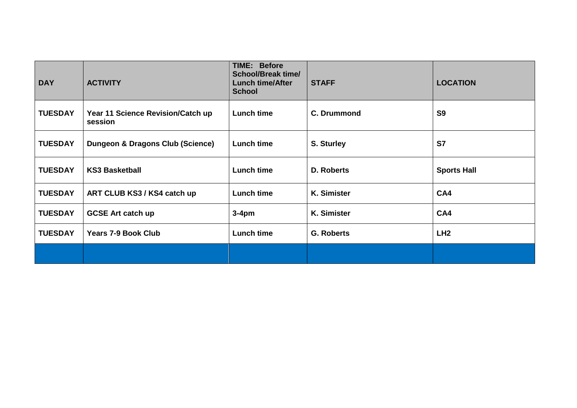| <b>DAY</b>     | <b>ACTIVITY</b>                              | <b>TIME: Before</b><br><b>School/Break time/</b><br><b>Lunch time/After</b><br><b>School</b> | <b>STAFF</b>       | <b>LOCATION</b>    |
|----------------|----------------------------------------------|----------------------------------------------------------------------------------------------|--------------------|--------------------|
| <b>TUESDAY</b> | Year 11 Science Revision/Catch up<br>session | <b>Lunch time</b>                                                                            | <b>C. Drummond</b> | S <sub>9</sub>     |
| <b>TUESDAY</b> | Dungeon & Dragons Club (Science)             | <b>Lunch time</b>                                                                            | S. Sturley         | S7                 |
| <b>TUESDAY</b> | <b>KS3 Basketball</b>                        | <b>Lunch time</b>                                                                            | D. Roberts         | <b>Sports Hall</b> |
| <b>TUESDAY</b> | ART CLUB KS3 / KS4 catch up                  | Lunch time                                                                                   | K. Simister        | CA4                |
| <b>TUESDAY</b> | <b>GCSE Art catch up</b>                     | $3-4pm$                                                                                      | K. Simister        | CA4                |
| <b>TUESDAY</b> | <b>Years 7-9 Book Club</b>                   | <b>Lunch time</b>                                                                            | <b>G. Roberts</b>  | LH <sub>2</sub>    |
|                |                                              |                                                                                              |                    |                    |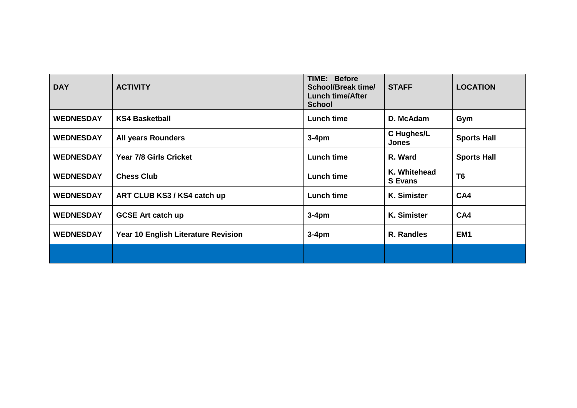| <b>DAY</b>       | <b>ACTIVITY</b>                     | <b>TIME: Before</b><br>School/Break time/<br><b>Lunch time/After</b><br><b>School</b> | <b>STAFF</b>                   | <b>LOCATION</b>    |
|------------------|-------------------------------------|---------------------------------------------------------------------------------------|--------------------------------|--------------------|
| <b>WEDNESDAY</b> | <b>KS4 Basketball</b>               | <b>Lunch time</b>                                                                     | D. McAdam                      | Gym                |
| <b>WEDNESDAY</b> | <b>All years Rounders</b>           | $3-4pm$                                                                               | C Hughes/L<br><b>Jones</b>     | <b>Sports Hall</b> |
| <b>WEDNESDAY</b> | <b>Year 7/8 Girls Cricket</b>       | <b>Lunch time</b>                                                                     | R. Ward                        | <b>Sports Hall</b> |
| <b>WEDNESDAY</b> | <b>Chess Club</b>                   | <b>Lunch time</b>                                                                     | K. Whitehead<br><b>S</b> Evans | T <sub>6</sub>     |
| <b>WEDNESDAY</b> | ART CLUB KS3 / KS4 catch up         | <b>Lunch time</b>                                                                     | <b>K. Simister</b>             | CA4                |
| <b>WEDNESDAY</b> | <b>GCSE Art catch up</b>            | $3-4pm$                                                                               | <b>K. Simister</b>             | CA4                |
| <b>WEDNESDAY</b> | Year 10 English Literature Revision | $3-4pm$                                                                               | R. Randles                     | EM <sub>1</sub>    |
|                  |                                     |                                                                                       |                                |                    |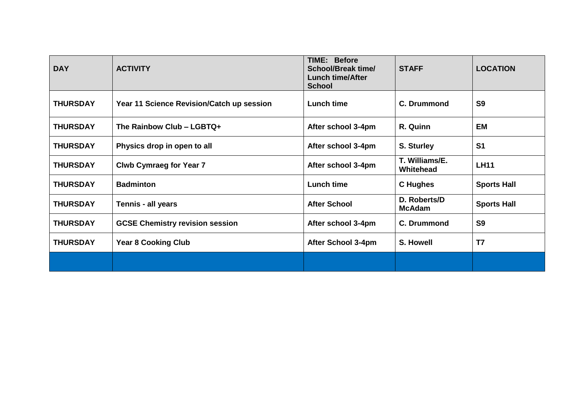| <b>DAY</b>      | <b>ACTIVITY</b>                           | <b>TIME: Before</b><br>School/Break time/<br><b>Lunch time/After</b><br><b>School</b> | <b>STAFF</b>                  | <b>LOCATION</b>    |
|-----------------|-------------------------------------------|---------------------------------------------------------------------------------------|-------------------------------|--------------------|
| <b>THURSDAY</b> | Year 11 Science Revision/Catch up session | <b>Lunch time</b>                                                                     | C. Drummond                   | S <sub>9</sub>     |
| <b>THURSDAY</b> | The Rainbow Club - LGBTQ+                 | After school 3-4pm                                                                    | R. Quinn                      | <b>EM</b>          |
| <b>THURSDAY</b> | Physics drop in open to all               | After school 3-4pm                                                                    | S. Sturley                    | S <sub>1</sub>     |
| <b>THURSDAY</b> | <b>Clwb Cymraeg for Year 7</b>            | After school 3-4pm                                                                    | T. Williams/E.<br>Whitehead   | <b>LH11</b>        |
| <b>THURSDAY</b> | <b>Badminton</b>                          | <b>Lunch time</b>                                                                     | <b>C</b> Hughes               | <b>Sports Hall</b> |
| <b>THURSDAY</b> | Tennis - all years                        | <b>After School</b>                                                                   | D. Roberts/D<br><b>McAdam</b> | <b>Sports Hall</b> |
| <b>THURSDAY</b> | <b>GCSE Chemistry revision session</b>    | After school 3-4pm                                                                    | <b>C. Drummond</b>            | S <sub>9</sub>     |
| <b>THURSDAY</b> | <b>Year 8 Cooking Club</b>                | After School 3-4pm                                                                    | S. Howell                     | T7                 |
|                 |                                           |                                                                                       |                               |                    |